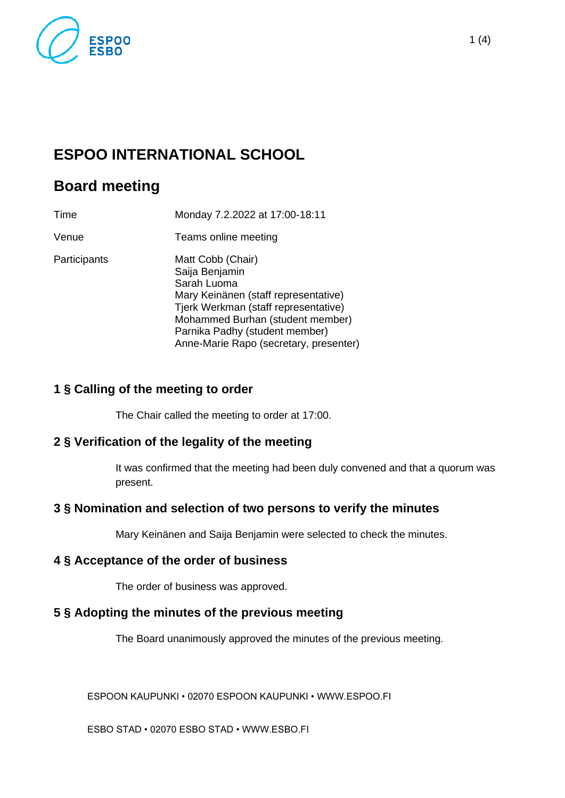

# **ESPOO INTERNATIONAL SCHOOL**

## **Board meeting**

| Time         | Monday 7.2.2022 at 17:00-18:11                                                                                                                                                                                                                     |
|--------------|----------------------------------------------------------------------------------------------------------------------------------------------------------------------------------------------------------------------------------------------------|
| Venue        | Teams online meeting                                                                                                                                                                                                                               |
| Participants | Matt Cobb (Chair)<br>Saija Benjamin<br>Sarah Luoma<br>Mary Keinänen (staff representative)<br>Tjerk Werkman (staff representative)<br>Mohammed Burhan (student member)<br>Parnika Padhy (student member)<br>Anne-Marie Rapo (secretary, presenter) |

## **1 § Calling of the meeting to order**

The Chair called the meeting to order at 17:00.

## **2 § Verification of the legality of the meeting**

It was confirmed that the meeting had been duly convened and that a quorum was present.

## **3 § Nomination and selection of two persons to verify the minutes**

Mary Keinänen and Saija Benjamin were selected to check the minutes.

## **4 § Acceptance of the order of business**

The order of business was approved.

## **5 § Adopting the minutes of the previous meeting**

The Board unanimously approved the minutes of the previous meeting.

ESPOON KAUPUNKI • 02070 ESPOON KAUPUNKI • WWW.ESPOO.FI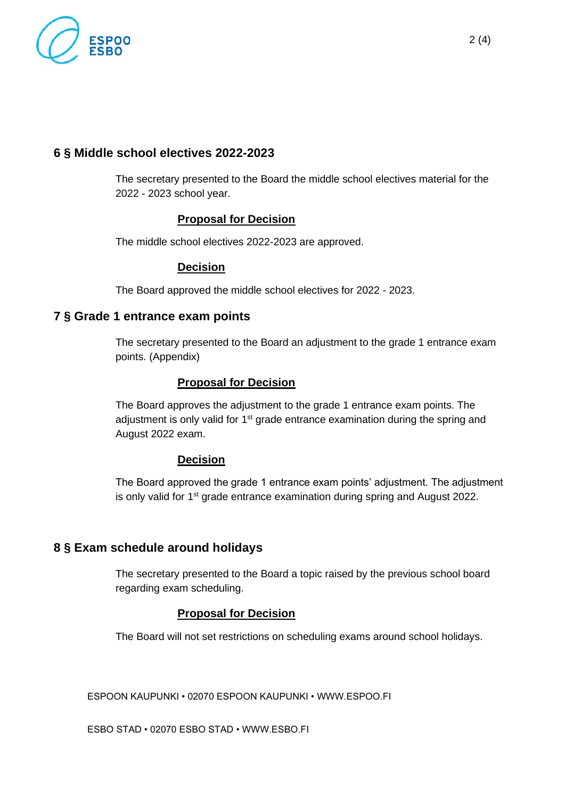

## **6 § Middle school electives 2022-2023**

The secretary presented to the Board the middle school electives material for the 2022 - 2023 school year.

#### **Proposal for Decision**

The middle school electives 2022-2023 are approved.

#### **Decision**

The Board approved the middle school electives for 2022 - 2023.

#### **7 § Grade 1 entrance exam points**

The secretary presented to the Board an adjustment to the grade 1 entrance exam points. (Appendix)

#### **Proposal for Decision**

The Board approves the adjustment to the grade 1 entrance exam points. The adjustment is only valid for 1<sup>st</sup> grade entrance examination during the spring and August 2022 exam.

#### **Decision**

The Board approved the grade 1 entrance exam points' adjustment. The adjustment is only valid for 1<sup>st</sup> grade entrance examination during spring and August 2022.

## **8 § Exam schedule around holidays**

The secretary presented to the Board a topic raised by the previous school board regarding exam scheduling.

#### **Proposal for Decision**

The Board will not set restrictions on scheduling exams around school holidays.

ESPOON KAUPUNKI • 02070 ESPOON KAUPUNKI • WWW.ESPOO.FI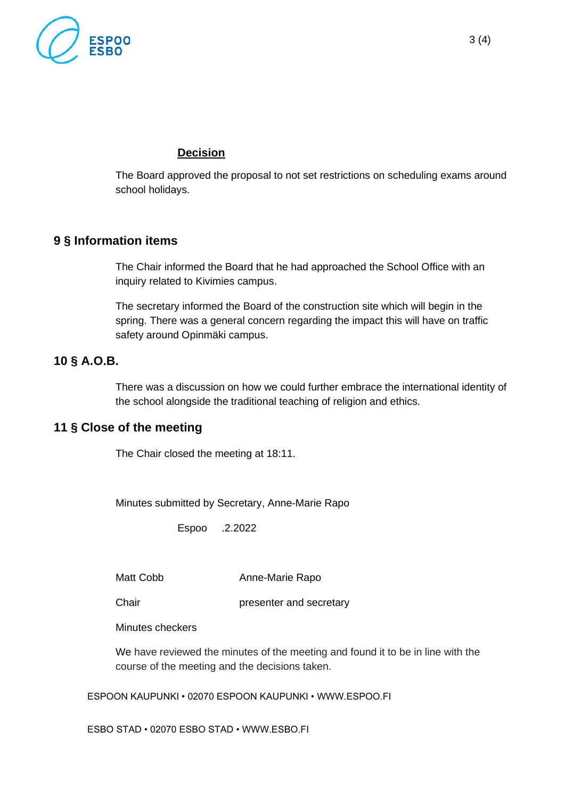

The Board approved the proposal to not set restrictions on scheduling exams around school holidays.

## **9 § Information items**

The Chair informed the Board that he had approached the School Office with an inquiry related to Kivimies campus.

The secretary informed the Board of the construction site which will begin in the spring. There was a general concern regarding the impact this will have on traffic safety around Opinmäki campus.

## **10 § A.O.B.**

There was a discussion on how we could further embrace the international identity of the school alongside the traditional teaching of religion and ethics.

## **11 § Close of the meeting**

The Chair closed the meeting at 18:11.

Minutes submitted by Secretary, Anne-Marie Rapo

Espoo .2.2022

Matt Cobb Anne-Marie Rapo

Chair **presenter and secretary** 

Minutes checkers

We have reviewed the minutes of the meeting and found it to be in line with the course of the meeting and the decisions taken.

ESPOON KAUPUNKI • 02070 ESPOON KAUPUNKI • WWW.ESPOO.FI